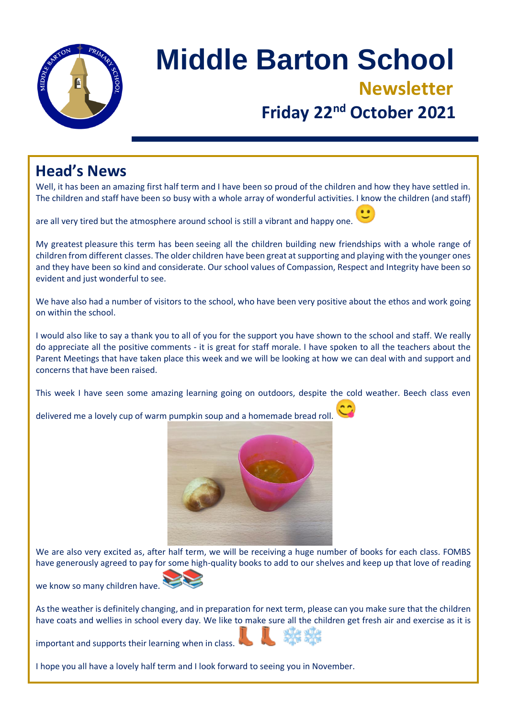

# **Middle Barton School Newsletter Friday 22nd October 2021**

### **Head's News**

Well, it has been an amazing first half term and I have been so proud of the children and how they have settled in. The children and staff have been so busy with a whole array of wonderful activities. I know the children (and staff)

are all very tired but the atmosphere around school is still a vibrant and happy one.

My greatest pleasure this term has been seeing all the children building new friendships with a whole range of children from different classes. The older children have been great at supporting and playing with the younger ones and they have been so kind and considerate. Our school values of Compassion, Respect and Integrity have been so evident and just wonderful to see.

We have also had a number of visitors to the school, who have been very positive about the ethos and work going on within the school.

I would also like to say a thank you to all of you for the support you have shown to the school and staff. We really do appreciate all the positive comments - it is great for staff morale. I have spoken to all the teachers about the Parent Meetings that have taken place this week and we will be looking at how we can deal with and support and concerns that have been raised.

This week I have seen some amazing learning going on outdoors, despite the cold weather. Beech class even

delivered me a lovely cup of warm pumpkin soup and a homemade bread roll.



We are also very excited as, after half term, we will be receiving a huge number of books for each class. FOMBS have generously agreed to pay for some high-quality books to add to our shelves and keep up that love of reading

we know so many children have.

As the weather is definitely changing, and in preparation for next term, please can you make sure that the children have coats and wellies in school every day. We like to make sure all the children get fresh air and exercise as it is

important and supports their learning when in class.

I hope you all have a lovely half term and I look forward to seeing you in November.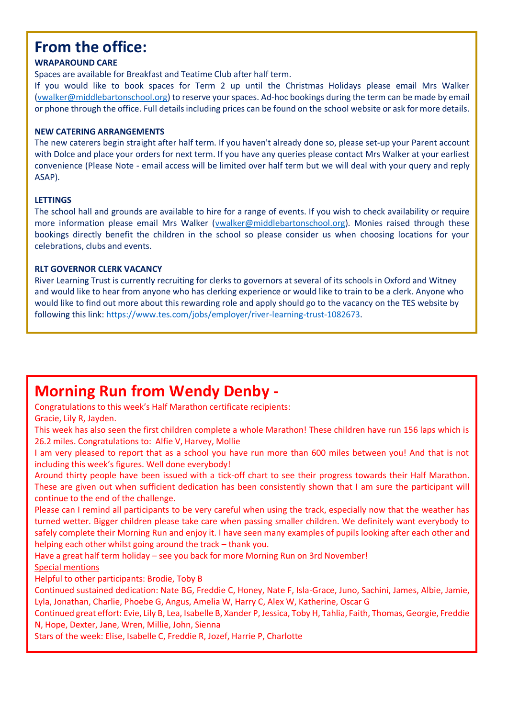### **From the office:**

#### **WRAPAROUND CARE**

Spaces are available for Breakfast and Teatime Club after half term.

If you would like to book spaces for Term 2 up until the Christmas Holidays please email Mrs Walker [\(vwalker@middlebartonschool.org\)](mailto:vwalker@middlebartonschool.org) to reserve your spaces. Ad-hoc bookings during the term can be made by email or phone through the office. Full details including prices can be found on the school website or ask for more details.

#### **NEW CATERING ARRANGEMENTS**

The new caterers begin straight after half term. If you haven't already done so, please set-up your Parent account with Dolce and place your orders for next term. If you have any queries please contact Mrs Walker at your earliest convenience (Please Note - email access will be limited over half term but we will deal with your query and reply ASAP).

#### **LETTINGS**

The school hall and grounds are available to hire for a range of events. If you wish to check availability or require more information please email Mrs Walker [\(vwalker@middlebartonschool.org\)](mailto:vwalker@middlebartonschool.org). Monies raised through these bookings directly benefit the children in the school so please consider us when choosing locations for your celebrations, clubs and events.

#### **RLT GOVERNOR CLERK VACANCY**

River Learning Trust is currently recruiting for clerks to governors at several of its schools in Oxford and Witney and would like to hear from anyone who has clerking experience or would like to train to be a clerk. Anyone who would like to find out more about this rewarding role and apply should go to the vacancy on the TES website by following this link: [https://www.tes.com/jobs/employer/river-learning-trust-1082673.](https://www.tes.com/jobs/employer/river-learning-trust-1082673)

### **Morning Run from Wendy Denby -**

Congratulations to this week's Half Marathon certificate recipients: Gracie, Lily R, Jayden.

This week has also seen the first children complete a whole Marathon! These children have run 156 laps which is 26.2 miles. Congratulations to: Alfie V, Harvey, Mollie

I am very pleased to report that as a school you have run more than 600 miles between you! And that is not including this week's figures. Well done everybody!

Around thirty people have been issued with a tick-off chart to see their progress towards their Half Marathon. These are given out when sufficient dedication has been consistently shown that I am sure the participant will continue to the end of the challenge.

Please can I remind all participants to be very careful when using the track, especially now that the weather has turned wetter. Bigger children please take care when passing smaller children. We definitely want everybody to safely complete their Morning Run and enjoy it. I have seen many examples of pupils looking after each other and helping each other whilst going around the track – thank you.

Have a great half term holiday – see you back for more Morning Run on 3rd November! Special mentions

Helpful to other participants: Brodie, Toby B

Continued sustained dedication: Nate BG, Freddie C, Honey, Nate F, Isla-Grace, Juno, Sachini, James, Albie, Jamie, Lyla, Jonathan, Charlie, Phoebe G, Angus, Amelia W, Harry C, Alex W, Katherine, Oscar G

Continued great effort: Evie, Lily B, Lea, Isabelle B, Xander P, Jessica, Toby H, Tahlia, Faith, Thomas, Georgie, Freddie N, Hope, Dexter, Jane, Wren, Millie, John, Sienna

Stars of the week: Elise, Isabelle C, Freddie R, Jozef, Harrie P, Charlotte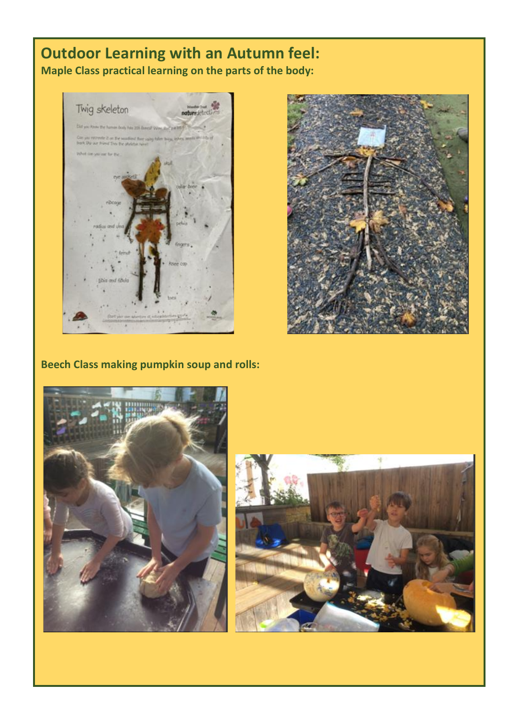### **Outdoor Learning with an Autumn feel: Maple Class practical learning on the parts of the body:**





**Beech Class making pumpkin soup and rolls:**



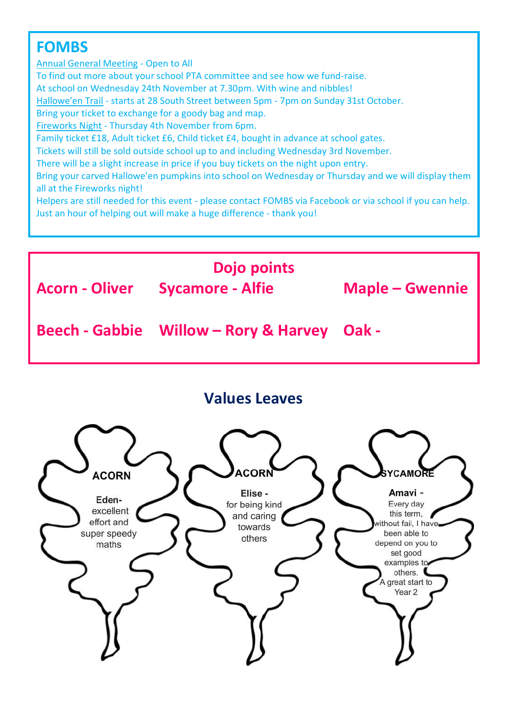## **FOMBS**

Annual General Meeting - Open to All To find out more about your school PTA committee and see how we fund-raise. At school on Wednesday 24th November at 7.30pm. With wine and nibbles! Hallowe'en Trail - starts at 28 South Street between 5pm - 7pm on Sunday 31st October. Bring your ticket to exchange for a goody bag and map. Fireworks Night - Thursday 4th November from 6pm. Family ticket £18, Adult ticket £6, Child ticket £4, bought in advance at school gates. Tickets will still be sold outside school up to and including Wednesday 3rd November. There will be a slight increase in price if you buy tickets on the night upon entry. Bring your carved Hallowe'en pumpkins into school on Wednesday or Thursday and we will display them all at the Fireworks night! Helpers are still needed for this event - please contact FOMBS via Facebook or via school if you can help. Just an hour of helping out will make a huge difference - thank you!